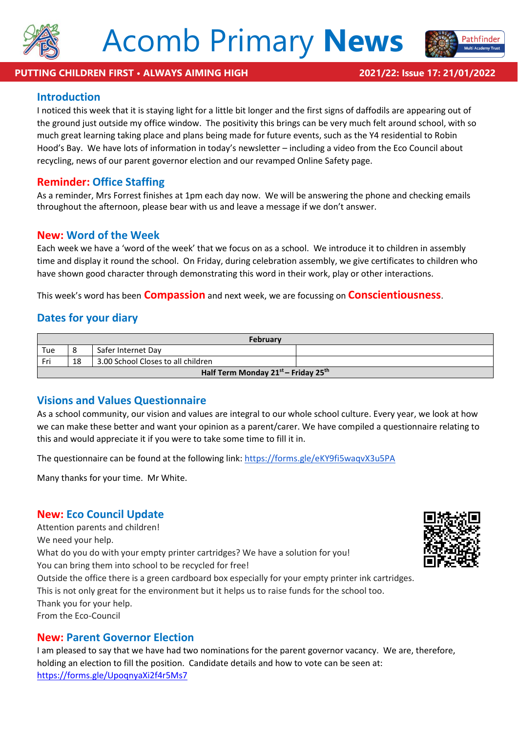



#### **PUTTING CHILDREN FIRST • ALWAYS AIMING HIGH 2021/22: Issue 17: 21/01/2022**

## **Introduction**

I noticed this week that it is staying light for a little bit longer and the first signs of daffodils are appearing out of the ground just outside my office window. The positivity this brings can be very much felt around school, with so much great learning taking place and plans being made for future events, such as the Y4 residential to Robin Hood's Bay. We have lots of information in today's newsletter – including a video from the Eco Council about recycling, news of our parent governor election and our revamped Online Safety page.

## **Reminder: Office Staffing**

As a reminder, Mrs Forrest finishes at 1pm each day now. We will be answering the phone and checking emails throughout the afternoon, please bear with us and leave a message if we don't answer.

## **New: Word of the Week**

Each week we have a 'word of the week' that we focus on as a school. We introduce it to children in assembly time and display it round the school. On Friday, during celebration assembly, we give certificates to children who have shown good character through demonstrating this word in their work, play or other interactions.

This week's word has been **Compassion** and next week, we are focussing on **Conscientiousness**.

## **Dates for your diary**

| <b>February</b>                     |    |                                    |  |
|-------------------------------------|----|------------------------------------|--|
| Tue                                 | 8  | Safer Internet Day                 |  |
| Fri                                 | 18 | 3.00 School Closes to all children |  |
| Half Term Monday 21st - Friday 25th |    |                                    |  |

## **Visions and Values Questionnaire**

As a school community, our vision and values are integral to our whole school culture. Every year, we look at how we can make these better and want your opinion as a parent/carer. We have compiled a questionnaire relating to this and would appreciate it if you were to take some time to fill it in.

The questionnaire can be found at the following link: <https://forms.gle/eKY9fi5waqvX3u5PA>

Many thanks for your time. Mr White.

## **New: Eco Council Update**

Attention parents and children! We need your help. What do you do with your empty printer cartridges? We have a solution for you! You can bring them into school to be recycled for free! Outside the office there is a green cardboard box especially for your empty printer ink cartridges. This is not only great for the environment but it helps us to raise funds for the school too. Thank you for your help. From the Eco-Council

### **New: Parent Governor Election**

I am pleased to say that we have had two nominations for the parent governor vacancy. We are, therefore, holding an election to fill the position. Candidate details and how to vote can be seen at: <https://forms.gle/UpoqnyaXi2f4r5Ms7>

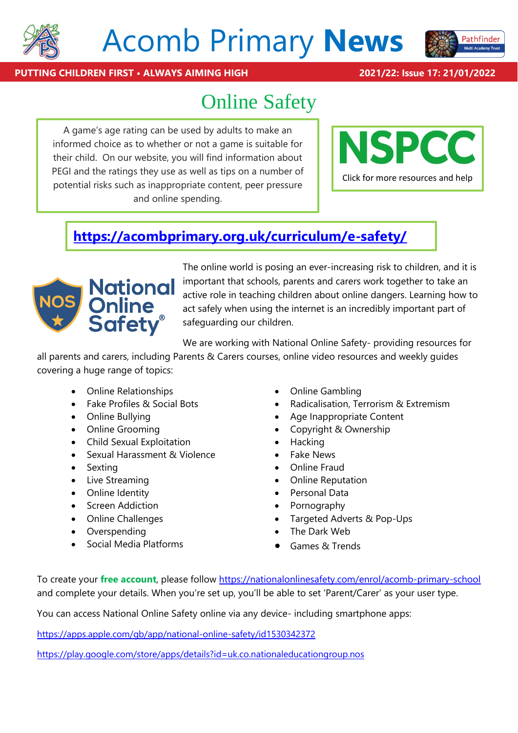

# Acomb Primary **News**



**PUTTING CHILDREN FIRST • ALWAYS AIMING HIGH 2021/22: Issue 17: 21/01/2022**

## Online Safety

A game's age rating can be used by adults to make an informed choice as to whether or not a game is suitable for their child. On our website, you will find information about PEGI and the ratings they use as well as tips on a number of potential risks such as inappropriate content, peer pressure and online spending.



## **<https://acombprimary.org.uk/curriculum/e-safety/>**



The online world is posing an ever-increasing risk to children, and it is important that schools, parents and carers work together to take an active role in teaching children about online dangers. Learning how to act safely when using the internet is an incredibly important part of safeguarding our children.

We are working with National Online Safety- providing resources for

all parents and carers, including Parents & Carers courses, online video resources and weekly guides covering a huge range of topics:

- Online Relationships
- Fake Profiles & Social Bots
- Online Bullying
- Online Grooming
- Child Sexual Exploitation
- Sexual Harassment & Violence
- Sexting
- Live Streaming
- Online Identity
- Screen Addiction
- Online Challenges
- Overspending
- Social Media Platforms
- Online Gambling
- Radicalisation, Terrorism & Extremism
- Age Inappropriate Content
- Copyright & Ownership
- **Hacking**
- Fake News
- Online Fraud
- Online Reputation
- Personal Data
- Pornography
- Targeted Adverts & Pop-Ups
- The Dark Web
- Games & Trends

To create your **free account**, please follow [https://nationalonlinesafety.com/enrol/acomb-primary-school]($%7bschoolLink%7d) and complete your details. When you're set up, you'll be able to set 'Parent/Carer' as your user type.

You can access National Online Safety online via any device- including smartphone apps:

<https://apps.apple.com/gb/app/national-online-safety/id1530342372>

<https://play.google.com/store/apps/details?id=uk.co.nationaleducationgroup.nos>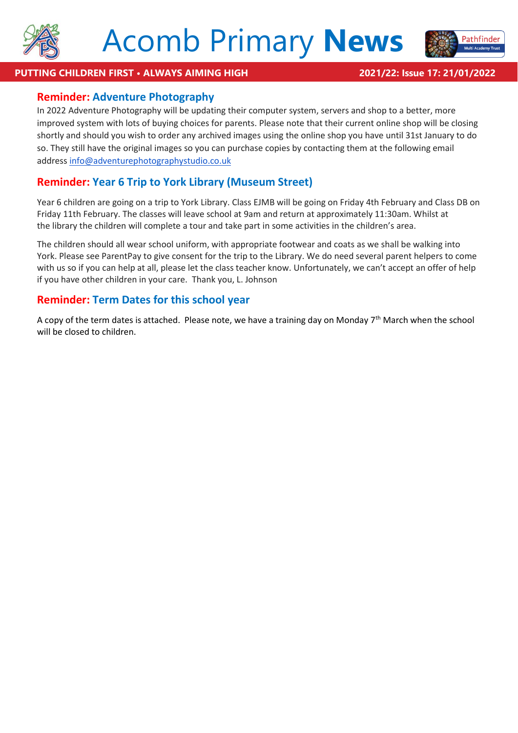



### **PUTTING CHILDREN FIRST • ALWAYS AIMING HIGH 2021/22: Issue 17: 21/01/2022**

## **Reminder: Adventure Photography**

In 2022 Adventure Photography will be updating their computer system, servers and shop to a better, more improved system with lots of buying choices for parents. Please note that their current online shop will be closing shortly and should you wish to order any archived images using the online shop you have until 31st January to do so. They still have the original images so you can purchase copies by contacting them at the following email address [info@adventurephotographystudio.co.uk](mailto:info@adventurephotographystudio.co.uk)

## **Reminder: Year 6 Trip to York Library (Museum Street)**

Year 6 children are going on a trip to York Library. Class EJMB will be going on Friday 4th February and Class DB on Friday 11th February. The classes will leave school at 9am and return at approximately 11:30am. Whilst at the library the children will complete a tour and take part in some activities in the children's area.

The children should all wear school uniform, with appropriate footwear and coats as we shall be walking into York. Please see ParentPay to give consent for the trip to the Library. We do need several parent helpers to come with us so if you can help at all, please let the class teacher know. Unfortunately, we can't accept an offer of help if you have other children in your care. Thank you, L. Johnson

## **Reminder: Term Dates for this school year**

A copy of the term dates is attached. Please note, we have a training day on Monday  $7<sup>th</sup>$  March when the school will be closed to children.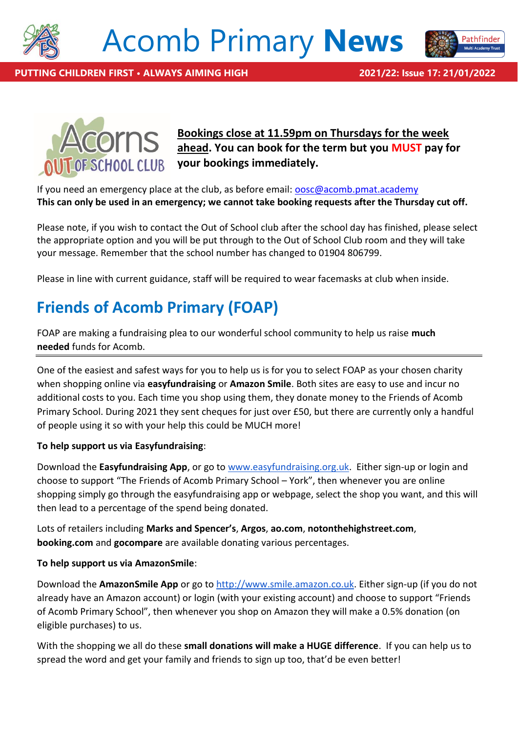

## Acomb Primary **News**





**Bookings close at 11.59pm on Thursdays for the week ahead. You can book for the term but you MUST pay for your bookings immediately.**

If you need an emergency place at the club, as before email: [oosc@acomb.pmat.academy](mailto:oosc@acomb.pmat.academy) **This can only be used in an emergency; we cannot take booking requests after the Thursday cut off.**

Please note, if you wish to contact the Out of School club after the school day has finished, please select the appropriate option and you will be put through to the Out of School Club room and they will take your message. Remember that the school number has changed to 01904 806799.

Please in line with current guidance, staff will be required to wear facemasks at club when inside.

## **Friends of Acomb Primary (FOAP)**

FOAP are making a fundraising plea to our wonderful school community to help us raise **much needed** funds for Acomb.

One of the easiest and safest ways for you to help us is for you to select FOAP as your chosen charity when shopping online via **easyfundraising** or **Amazon Smile**. Both sites are easy to use and incur no additional costs to you. Each time you shop using them, they donate money to the Friends of Acomb Primary School. During 2021 they sent cheques for just over £50, but there are currently only a handful of people using it so with your help this could be MUCH more!

### **To help support us via Easyfundraising**:

Download the **Easyfundraising App**, or go to [www.easyfundraising.org.uk.](http://www.easyfundraising.org.uk/) Either sign-up or login and choose to support "The Friends of Acomb Primary School – York", then whenever you are online shopping simply go through the easyfundraising app or webpage, select the shop you want, and this will then lead to a percentage of the spend being donated.

Lots of retailers including **Marks and Spencer's**, **Argos**, **ao.com**, **notonthehighstreet.com**, **booking.com** and **gocompare** are available donating various percentages.

### **To help support us via AmazonSmile**:

Download the **AmazonSmile App** or go to [http://www.smile.amazon.co.uk.](http://www.smile.amazon.co.uk/) Either sign-up (if you do not already have an Amazon account) or login (with your existing account) and choose to support "Friends of Acomb Primary School", then whenever you shop on Amazon they will make a 0.5% donation (on eligible purchases) to us.

With the shopping we all do these **small donations will make a HUGE difference**. If you can help us to spread the word and get your family and friends to sign up too, that'd be even better!